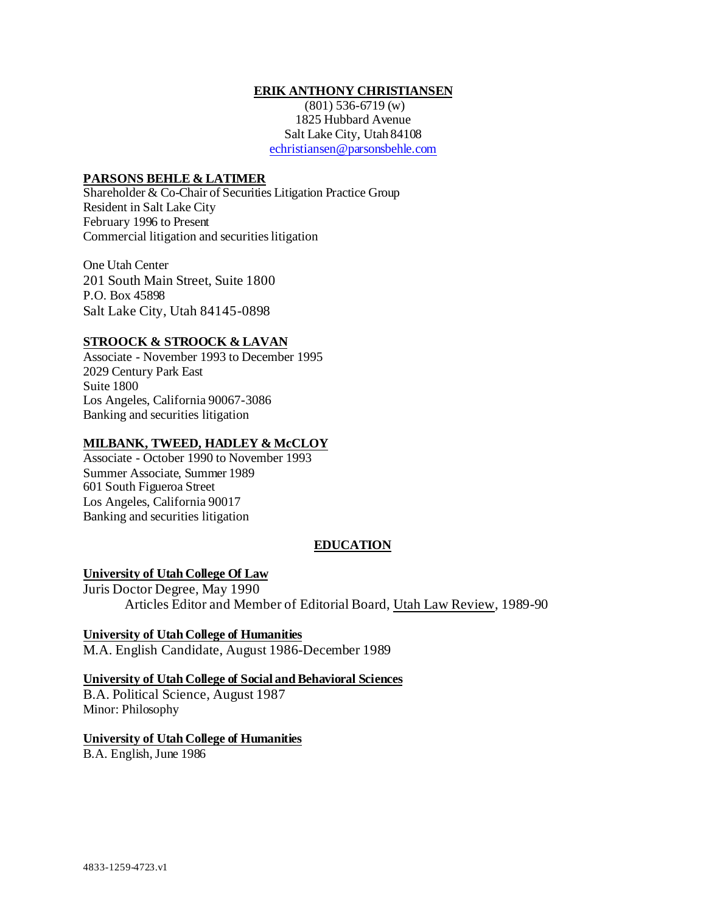### **ERIK ANTHONY CHRISTIANSEN**

(801) 536-6719 (w) 1825 Hubbard Avenue Salt Lake City, Utah 84108 [echristiansen@parsonsbehle.com](mailto:echristiansen@parsonsbehle.com)

#### **PARSONS BEHLE & LATIMER**

Shareholder & Co-Chair of Securities Litigation Practice Group Resident in Salt Lake City February 1996 to Present Commercial litigation and securities litigation

One Utah Center 201 South Main Street, Suite 1800 P.O. Box 45898 Salt Lake City, Utah 84145-0898

### **STROOCK & STROOCK & LAVAN**

Associate - November 1993 to December 1995 2029 Century Park East Suite 1800 Los Angeles, California 90067-3086 Banking and securities litigation

#### **MILBANK, TWEED, HADLEY & McCLOY**

Associate - October 1990 to November 1993 Summer Associate, Summer 1989 601 South Figueroa Street Los Angeles, California 90017 Banking and securities litigation

## **EDUCATION**

### **University of Utah College Of Law**

Juris Doctor Degree, May 1990 Articles Editor and Member of Editorial Board, Utah Law Review, 1989-90

**University of Utah College of Humanities** M.A. English Candidate, August 1986-December 1989

### **University of Utah College of Social and Behavioral Sciences**

B.A. Political Science, August 1987 Minor: Philosophy

### **University of Utah College of Humanities**

B.A. English,June 1986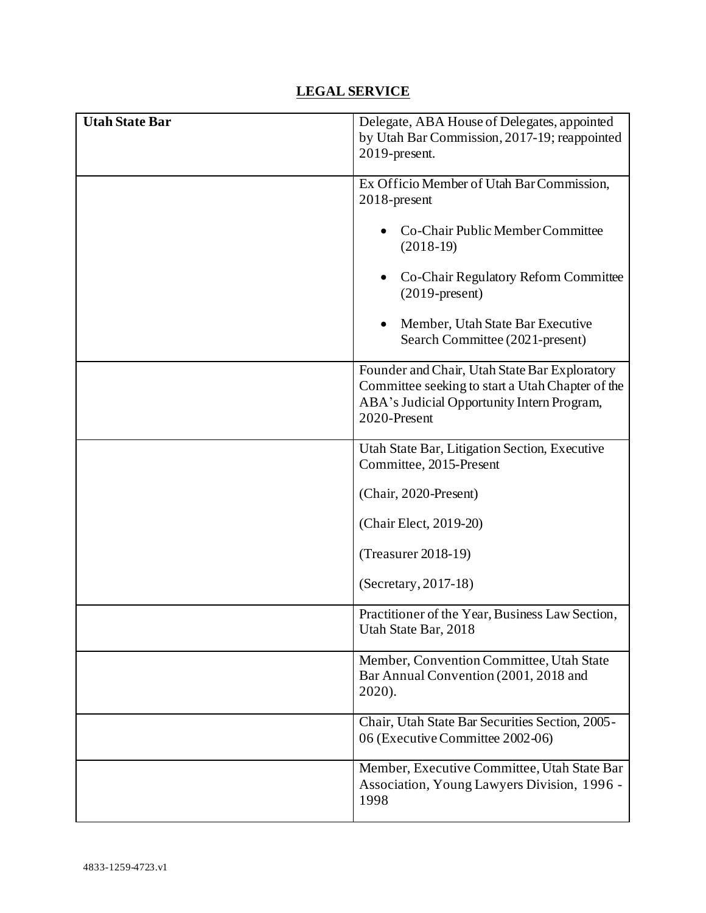# **LEGAL SERVICE**

| <b>Utah State Bar</b> | Delegate, ABA House of Delegates, appointed                                                        |
|-----------------------|----------------------------------------------------------------------------------------------------|
|                       | by Utah Bar Commission, 2017-19; reappointed                                                       |
|                       | 2019-present.                                                                                      |
|                       | Ex Officio Member of Utah Bar Commission,                                                          |
|                       | $2018$ -present                                                                                    |
|                       | Co-Chair Public Member Committee<br>$(2018-19)$                                                    |
|                       | Co-Chair Regulatory Reform Committee<br>$(2019$ -present)                                          |
|                       | Member, Utah State Bar Executive<br>$\bullet$<br>Search Committee (2021-present)                   |
|                       | Founder and Chair, Utah State Bar Exploratory                                                      |
|                       | Committee seeking to start a Utah Chapter of the                                                   |
|                       | ABA's Judicial Opportunity Intern Program,<br>2020-Present                                         |
|                       |                                                                                                    |
|                       | Utah State Bar, Litigation Section, Executive<br>Committee, 2015-Present                           |
|                       | (Chair, 2020-Present)                                                                              |
|                       | (Chair Elect, 2019-20)                                                                             |
|                       | $(Treasure 2018-19)$                                                                               |
|                       | (Secretary, 2017-18)                                                                               |
|                       | Practitioner of the Year, Business Law Section,<br>Utah State Bar, 2018                            |
|                       | Member, Convention Committee, Utah State<br>Bar Annual Convention (2001, 2018 and<br>2020).        |
|                       | Chair, Utah State Bar Securities Section, 2005-<br>06 (Executive Committee 2002-06)                |
|                       | Member, Executive Committee, Utah State Bar<br>Association, Young Lawyers Division, 1996 -<br>1998 |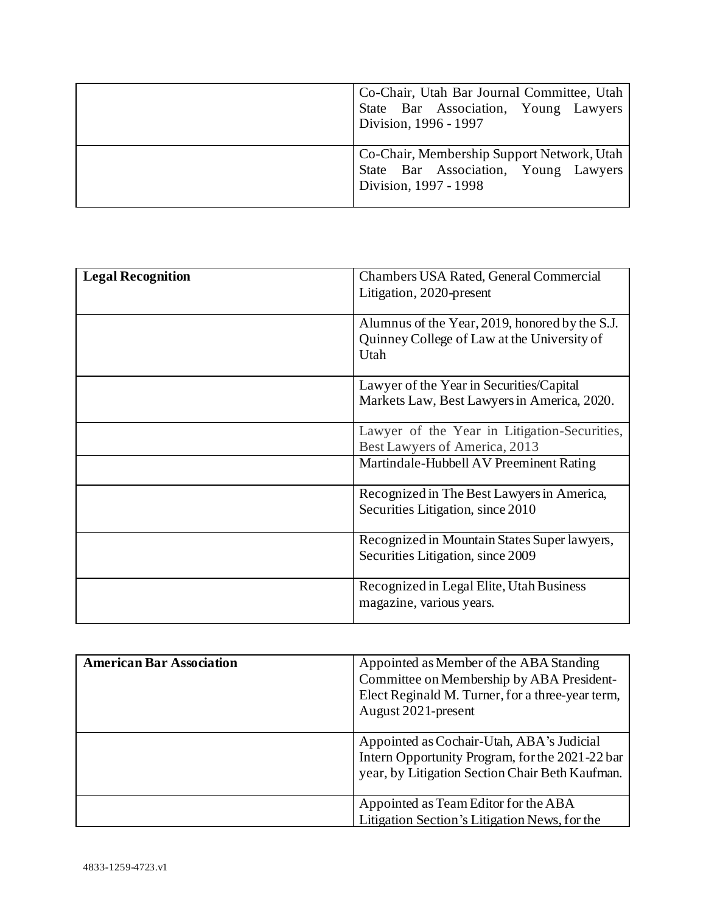| Co-Chair, Utah Bar Journal Committee, Utah<br>State Bar Association, Young Lawyers<br>Division, 1996 - 1997 |
|-------------------------------------------------------------------------------------------------------------|
| Co-Chair, Membership Support Network, Utah<br>State Bar Association, Young Lawyers<br>Division, 1997 - 1998 |

| <b>Legal Recognition</b> | Chambers USA Rated, General Commercial<br>Litigation, 2020-present                                    |
|--------------------------|-------------------------------------------------------------------------------------------------------|
|                          | Alumnus of the Year, 2019, honored by the S.J.<br>Quinney College of Law at the University of<br>Utah |
|                          | Lawyer of the Year in Securities/Capital<br>Markets Law, Best Lawyers in America, 2020.               |
|                          | Lawyer of the Year in Litigation-Securities,<br>Best Lawyers of America, 2013                         |
|                          | Martindale-Hubbell AV Preeminent Rating                                                               |
|                          | Recognized in The Best Lawyers in America,<br>Securities Litigation, since 2010                       |
|                          | Recognized in Mountain States Super lawyers,<br>Securities Litigation, since 2009                     |
|                          | Recognized in Legal Elite, Utah Business<br>magazine, various years.                                  |

| <b>American Bar Association</b> | Appointed as Member of the ABA Standing<br>Committee on Membership by ABA President-<br>Elect Reginald M. Turner, for a three-year term,<br>August 2021-present |
|---------------------------------|-----------------------------------------------------------------------------------------------------------------------------------------------------------------|
|                                 | Appointed as Cochair-Utah, ABA's Judicial<br>Intern Opportunity Program, for the 2021-22 bar<br>year, by Litigation Section Chair Beth Kaufman.                 |
|                                 | Appointed as Team Editor for the ABA<br>Litigation Section's Litigation News, for the                                                                           |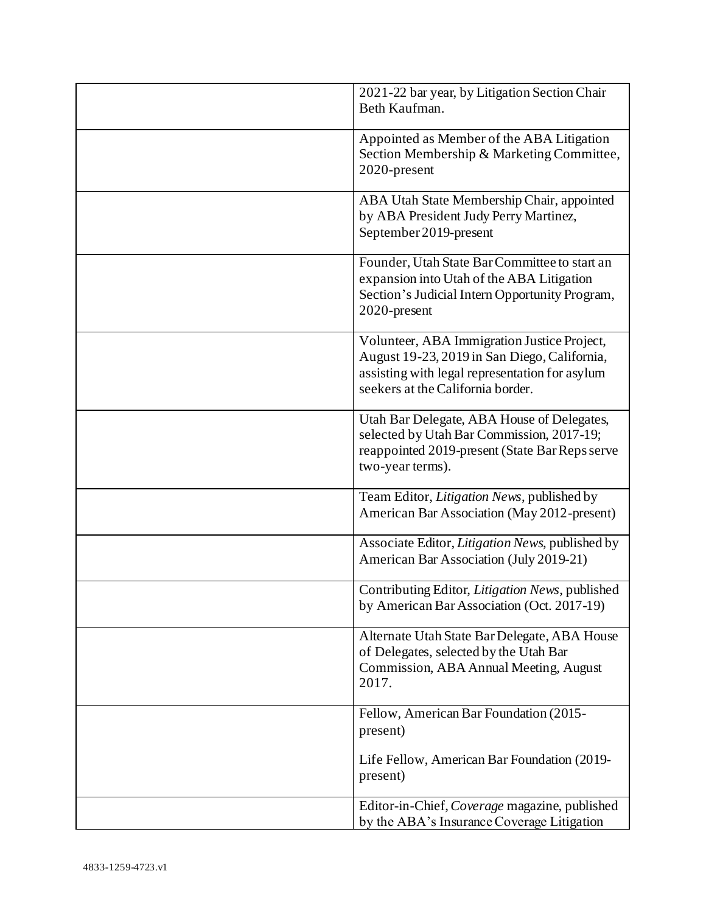| 2021-22 bar year, by Litigation Section Chair<br>Beth Kaufman.                                                                                                                     |
|------------------------------------------------------------------------------------------------------------------------------------------------------------------------------------|
| Appointed as Member of the ABA Litigation<br>Section Membership & Marketing Committee,<br>2020-present                                                                             |
| ABA Utah State Membership Chair, appointed<br>by ABA President Judy Perry Martinez,<br>September 2019-present                                                                      |
| Founder, Utah State Bar Committee to start an<br>expansion into Utah of the ABA Litigation<br>Section's Judicial Intern Opportunity Program,<br>2020-present                       |
| Volunteer, ABA Immigration Justice Project,<br>August 19-23, 2019 in San Diego, California,<br>assisting with legal representation for asylum<br>seekers at the California border. |
| Utah Bar Delegate, ABA House of Delegates,<br>selected by Utah Bar Commission, 2017-19;<br>reappointed 2019-present (State Bar Reps serve<br>two-year terms).                      |
| Team Editor, Litigation News, published by<br>American Bar Association (May 2012-present)                                                                                          |
| Associate Editor, Litigation News, published by<br>American Bar Association (July 2019-21)                                                                                         |
| Contributing Editor, Litigation News, published<br>by American Bar Association (Oct. 2017-19)                                                                                      |
| Alternate Utah State Bar Delegate, ABA House<br>of Delegates, selected by the Utah Bar<br>Commission, ABA Annual Meeting, August<br>2017.                                          |
| Fellow, American Bar Foundation (2015-<br>present)                                                                                                                                 |
| Life Fellow, American Bar Foundation (2019-<br>present)                                                                                                                            |
| Editor-in-Chief, Coverage magazine, published<br>by the ABA's Insurance Coverage Litigation                                                                                        |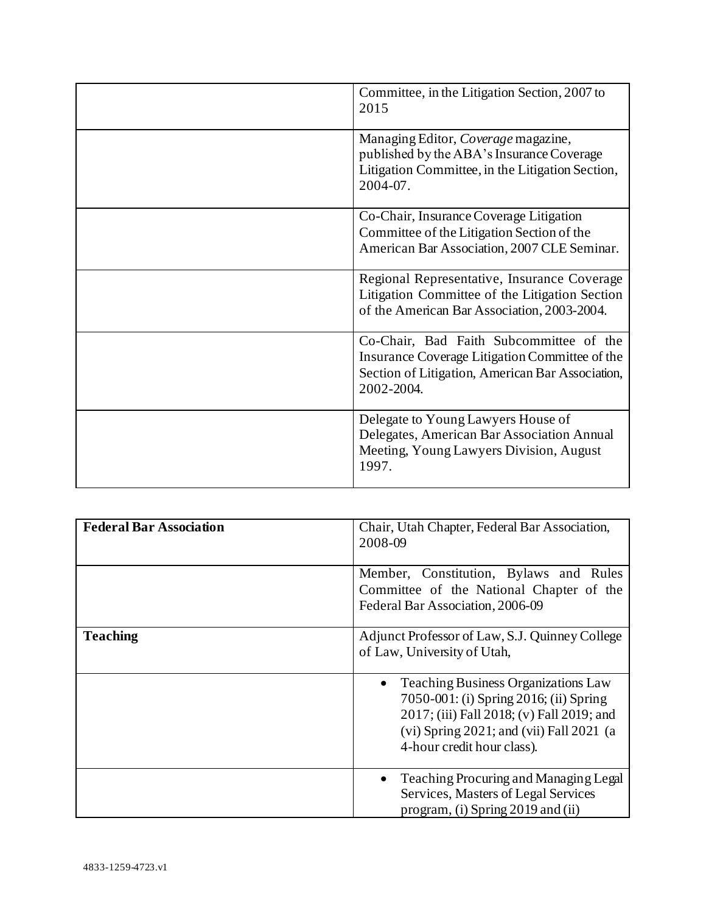| Committee, in the Litigation Section, 2007 to<br>2015                                                                                                       |
|-------------------------------------------------------------------------------------------------------------------------------------------------------------|
| Managing Editor, Coverage magazine,<br>published by the ABA's Insurance Coverage<br>Litigation Committee, in the Litigation Section,<br>2004-07.            |
| Co-Chair, Insurance Coverage Litigation<br>Committee of the Litigation Section of the<br>American Bar Association, 2007 CLE Seminar.                        |
| Regional Representative, Insurance Coverage<br>Litigation Committee of the Litigation Section<br>of the American Bar Association, 2003-2004.                |
| Co-Chair, Bad Faith Subcommittee of the<br>Insurance Coverage Litigation Committee of the<br>Section of Litigation, American Bar Association,<br>2002-2004. |
| Delegate to Young Lawyers House of<br>Delegates, American Bar Association Annual<br>Meeting, Young Lawyers Division, August<br>1997.                        |

| <b>Federal Bar Association</b> | Chair, Utah Chapter, Federal Bar Association,<br>2008-09                                                                                                                                                                     |
|--------------------------------|------------------------------------------------------------------------------------------------------------------------------------------------------------------------------------------------------------------------------|
|                                | Member, Constitution, Bylaws and Rules<br>Committee of the National Chapter of the<br>Federal Bar Association, 2006-09                                                                                                       |
| <b>Teaching</b>                | Adjunct Professor of Law, S.J. Quinney College<br>of Law, University of Utah,                                                                                                                                                |
|                                | <b>Teaching Business Organizations Law</b><br>$\bullet$<br>7050-001: (i) Spring 2016; (ii) Spring<br>2017; (iii) Fall 2018; (v) Fall 2019; and<br>$(vi)$ Spring 2021; and $(vii)$ Fall 2021 (a<br>4-hour credit hour class). |
|                                | Teaching Procuring and Managing Legal<br>$\bullet$<br>Services, Masters of Legal Services<br>program, (i) Spring 2019 and (ii)                                                                                               |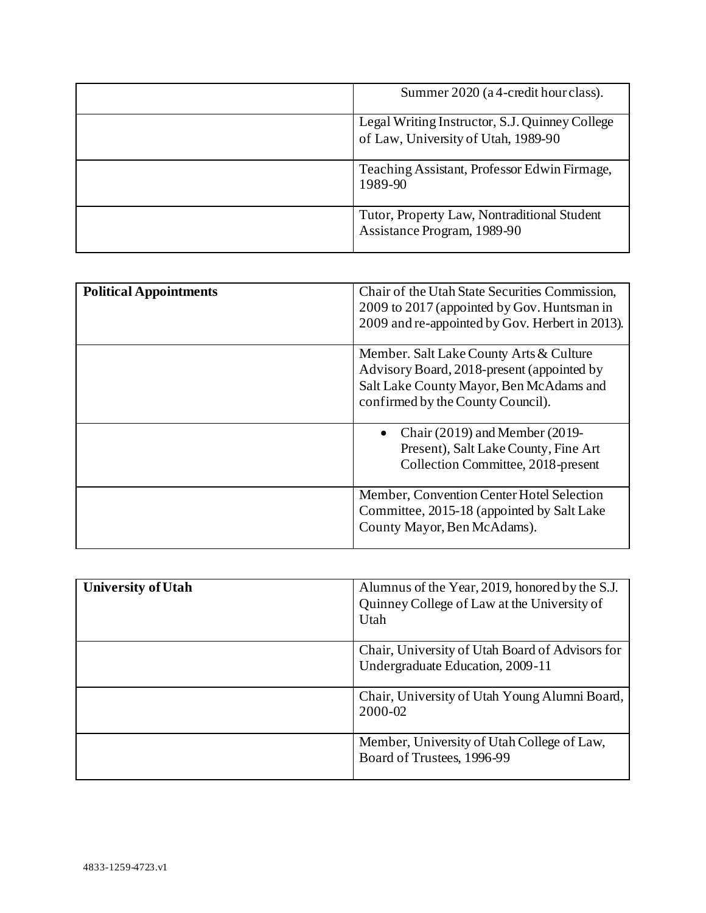| Summer 2020 (a 4-credit hour class).                                                  |
|---------------------------------------------------------------------------------------|
| Legal Writing Instructor, S.J. Quinney College<br>of Law, University of Utah, 1989-90 |
| Teaching Assistant, Professor Edwin Firmage,<br>1989-90                               |
| Tutor, Property Law, Nontraditional Student<br>Assistance Program, 1989-90            |

| <b>Political Appointments</b> | Chair of the Utah State Securities Commission,<br>2009 to 2017 (appointed by Gov. Huntsman in<br>2009 and re-appointed by Gov. Herbert in 2013).                      |
|-------------------------------|-----------------------------------------------------------------------------------------------------------------------------------------------------------------------|
|                               | Member. Salt Lake County Arts & Culture<br>Advisory Board, 2018-present (appointed by<br>Salt Lake County Mayor, Ben McAdams and<br>confirmed by the County Council). |
|                               | Chair $(2019)$ and Member $(2019-$<br>Present), Salt Lake County, Fine Art<br>Collection Committee, 2018-present                                                      |
|                               | Member, Convention Center Hotel Selection<br>Committee, 2015-18 (appointed by Salt Lake<br>County Mayor, Ben McAdams).                                                |

| <b>University of Utah</b> | Alumnus of the Year, 2019, honored by the S.J.<br>Quinney College of Law at the University of<br>Utah |
|---------------------------|-------------------------------------------------------------------------------------------------------|
|                           | Chair, University of Utah Board of Advisors for<br>Undergraduate Education, 2009-11                   |
|                           | Chair, University of Utah Young Alumni Board,<br>2000-02                                              |
|                           | Member, University of Utah College of Law,<br>Board of Trustees, 1996-99                              |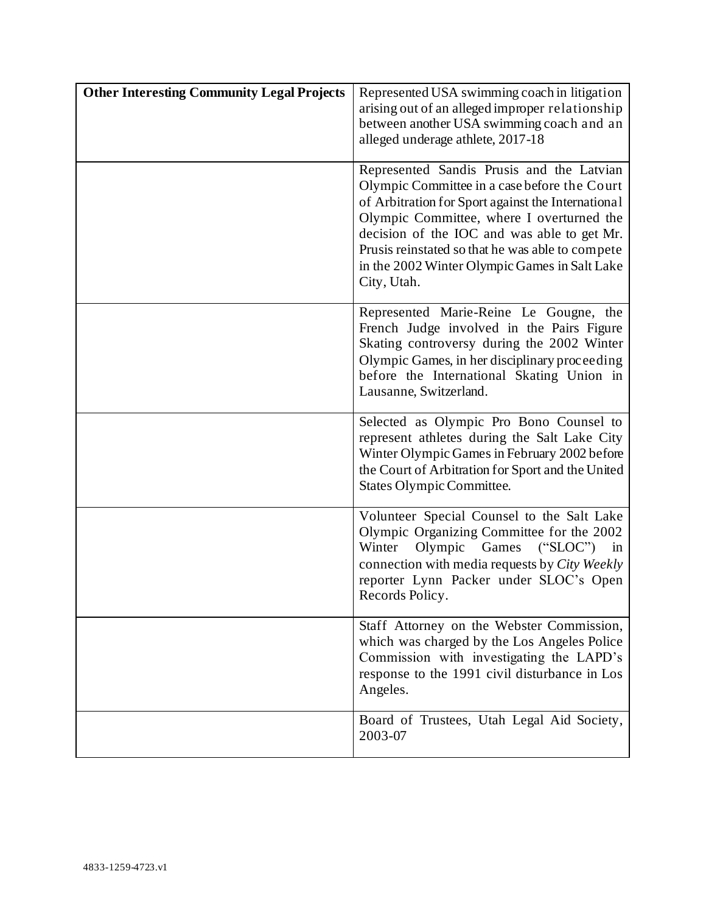| <b>Other Interesting Community Legal Projects</b> | Represented USA swimming coach in litigation<br>arising out of an alleged improper relationship<br>between another USA swimming coach and an<br>alleged underage athlete, 2017-18                                                                                                                                                                               |
|---------------------------------------------------|-----------------------------------------------------------------------------------------------------------------------------------------------------------------------------------------------------------------------------------------------------------------------------------------------------------------------------------------------------------------|
|                                                   | Represented Sandis Prusis and the Latvian<br>Olympic Committee in a case before the Court<br>of Arbitration for Sport against the International<br>Olympic Committee, where I overturned the<br>decision of the IOC and was able to get Mr.<br>Prusis reinstated so that he was able to compete<br>in the 2002 Winter Olympic Games in Salt Lake<br>City, Utah. |
|                                                   | Represented Marie-Reine Le Gougne, the<br>French Judge involved in the Pairs Figure<br>Skating controversy during the 2002 Winter<br>Olympic Games, in her disciplinary proceeding<br>before the International Skating Union in<br>Lausanne, Switzerland.                                                                                                       |
|                                                   | Selected as Olympic Pro Bono Counsel to<br>represent athletes during the Salt Lake City<br>Winter Olympic Games in February 2002 before<br>the Court of Arbitration for Sport and the United<br><b>States Olympic Committee.</b>                                                                                                                                |
|                                                   | Volunteer Special Counsel to the Salt Lake<br>Olympic Organizing Committee for the 2002<br>Olympic<br>Games ("SLOC") in<br>Winter<br>connection with media requests by City Weekly<br>reporter Lynn Packer under SLOC's Open<br>Records Policy.                                                                                                                 |
|                                                   | Staff Attorney on the Webster Commission,<br>which was charged by the Los Angeles Police<br>Commission with investigating the LAPD's<br>response to the 1991 civil disturbance in Los<br>Angeles.                                                                                                                                                               |
|                                                   | Board of Trustees, Utah Legal Aid Society,<br>2003-07                                                                                                                                                                                                                                                                                                           |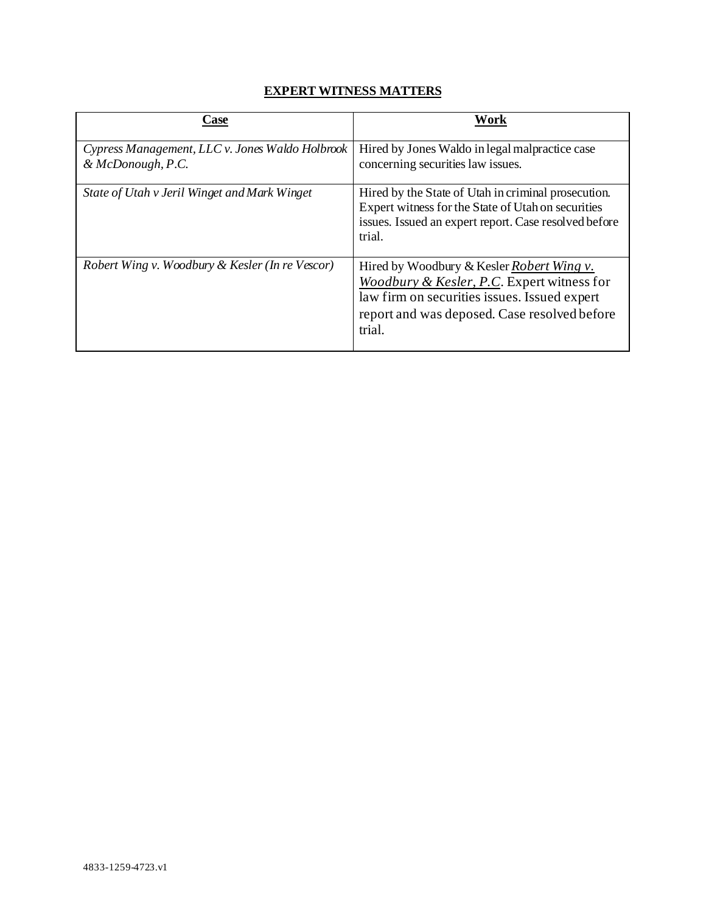# **EXPERT WITNESS MATTERS**

| Case                                                                 | Work                                                                                                                                                                                              |
|----------------------------------------------------------------------|---------------------------------------------------------------------------------------------------------------------------------------------------------------------------------------------------|
| Cypress Management, LLC v. Jones Waldo Holbrook<br>& McDonough, P.C. | Hired by Jones Waldo in legal malpractice case<br>concerning securities law issues.                                                                                                               |
| State of Utah v Jeril Winget and Mark Winget                         | Hired by the State of Utah in criminal prosecution.<br>Expert witness for the State of Utah on securities<br>issues. Issued an expert report. Case resolved before<br>trial.                      |
| Robert Wing v. Woodbury & Kesler (In re Vescor)                      | Hired by Woodbury & Kesler Robert Wing v.<br>Woodbury & Kesler, P.C. Expert witness for<br>law firm on securities issues. Issued expert<br>report and was deposed. Case resolved before<br>trial. |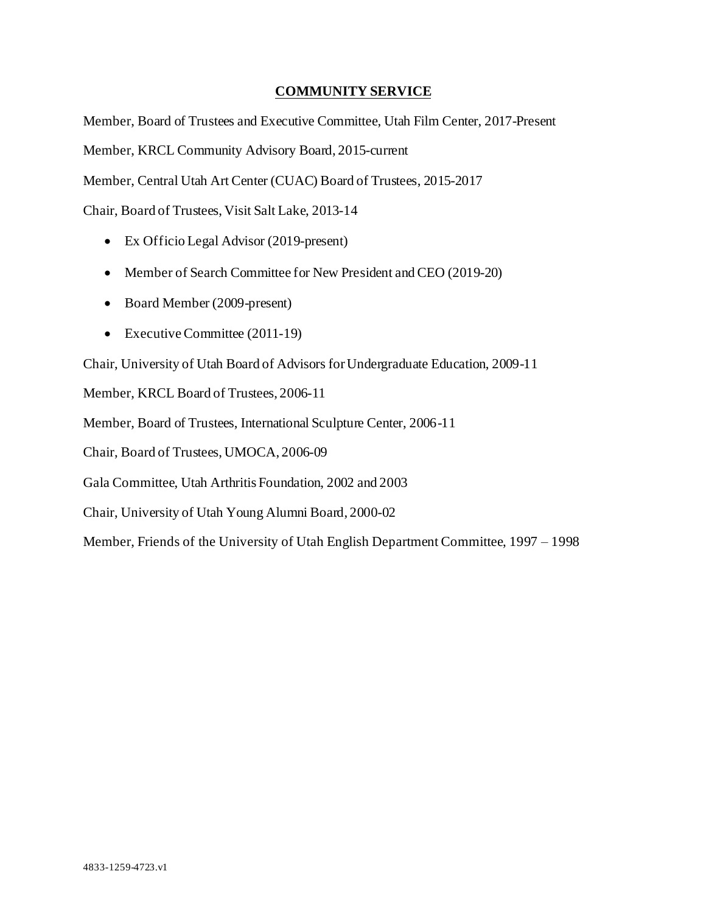# **COMMUNITY SERVICE**

Member, Board of Trustees and Executive Committee, Utah Film Center, 2017-Present

Member, KRCL Community Advisory Board, 2015-current

Member, Central Utah Art Center (CUAC) Board of Trustees, 2015-2017

Chair, Board of Trustees, Visit Salt Lake, 2013-14

- Ex Officio Legal Advisor (2019-present)
- Member of Search Committee for New President and CEO (2019-20)
- Board Member (2009-present)
- Executive Committee (2011-19)

Chair, University of Utah Board of Advisors for Undergraduate Education, 2009-11

Member, KRCL Board of Trustees, 2006-11

Member, Board of Trustees, International Sculpture Center, 2006-11

Chair, Board of Trustees, UMOCA, 2006-09

Gala Committee, Utah Arthritis Foundation, 2002 and 2003

Chair, University of Utah Young Alumni Board, 2000-02

Member, Friends of the University of Utah English Department Committee, 1997 – 1998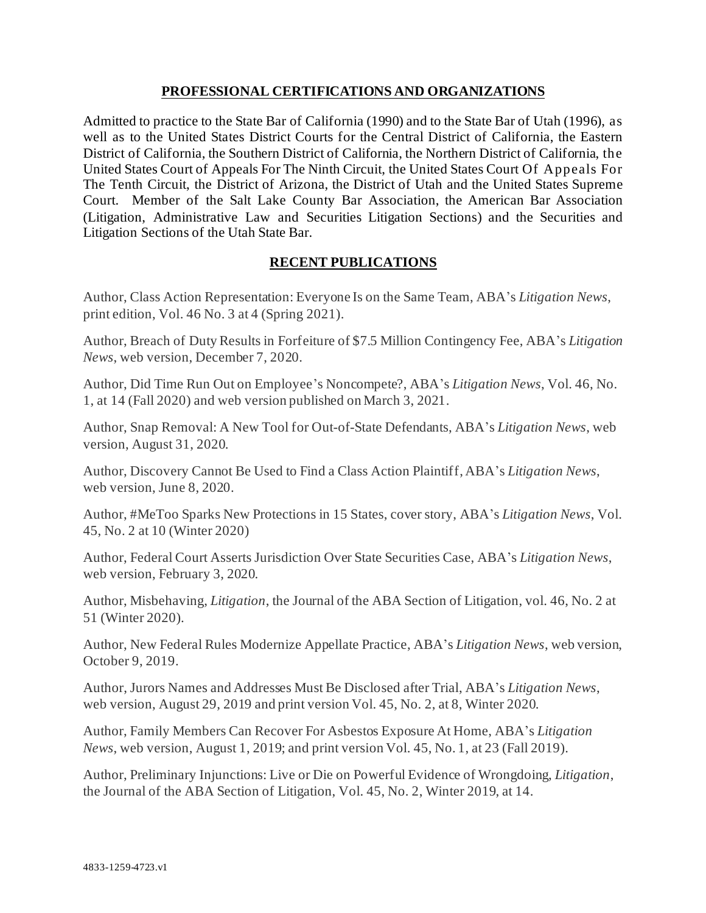# **PROFESSIONAL CERTIFICATIONS AND ORGANIZATIONS**

Admitted to practice to the State Bar of California (1990) and to the State Bar of Utah (1996), as well as to the United States District Courts for the Central District of California, the Eastern District of California, the Southern District of California, the Northern District of California, the United States Court of Appeals For The Ninth Circuit, the United States Court Of Appeals For The Tenth Circuit, the District of Arizona, the District of Utah and the United States Supreme Court. Member of the Salt Lake County Bar Association, the American Bar Association (Litigation, Administrative Law and Securities Litigation Sections) and the Securities and Litigation Sections of the Utah State Bar.

# **RECENT PUBLICATIONS**

Author, Class Action Representation: Everyone Is on the Same Team, ABA's *Litigation News*, print edition, Vol. 46 No. 3 at 4 (Spring 2021).

Author, Breach of Duty Results in Forfeiture of \$7.5 Million Contingency Fee, ABA's *Litigation News*, web version, December 7, 2020.

Author, Did Time Run Out on Employee's Noncompete?, ABA's *Litigation News*, Vol. 46, No. 1, at 14 (Fall 2020) and web version published on March 3, 2021.

Author, Snap Removal: A New Tool for Out-of-State Defendants, ABA's *Litigation News*, web version, August 31, 2020.

Author, Discovery Cannot Be Used to Find a Class Action Plaintiff, ABA's *Litigation News*, web version, June 8, 2020.

Author, #MeToo Sparks New Protections in 15 States, cover story, ABA's *Litigation News*, Vol. 45, No. 2 at 10 (Winter 2020)

Author, Federal Court Asserts Jurisdiction Over State Securities Case, ABA's *Litigation News*, web version, February 3, 2020.

Author, Misbehaving, *Litigation*, the Journal of the ABA Section of Litigation, vol. 46, No. 2 at 51 (Winter 2020).

Author, New Federal Rules Modernize Appellate Practice, ABA's *Litigation News*, web version, October 9, 2019.

Author, Jurors Names and Addresses Must Be Disclosed after Trial, ABA's *Litigation News*, web version, August 29, 2019 and print version Vol. 45, No. 2, at 8, Winter 2020.

Author, Family Members Can Recover For Asbestos Exposure At Home, ABA's *Litigation News*, web version, August 1, 2019; and print version Vol. 45, No. 1, at 23 (Fall 2019).

Author, Preliminary Injunctions: Live or Die on Powerful Evidence of Wrongdoing, *Litigation*, the Journal of the ABA Section of Litigation, Vol. 45, No. 2, Winter 2019, at 14.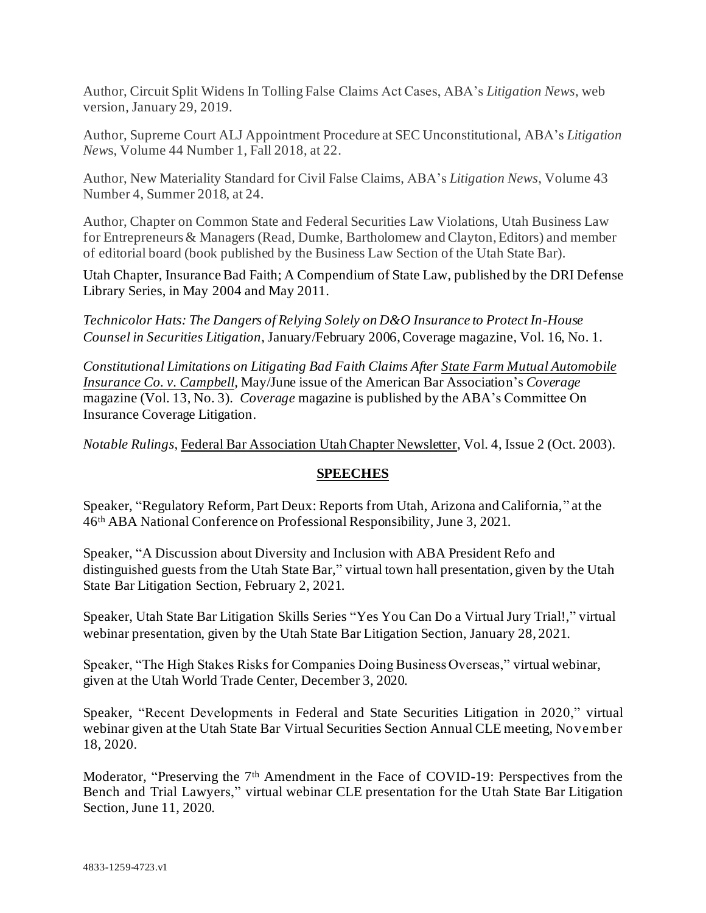Author, Circuit Split Widens In Tolling False Claims Act Cases, ABA's *Litigation News*, web version, January 29, 2019.

Author, Supreme Court ALJ Appointment Procedure at SEC Unconstitutional, ABA's *Litigation New*s, Volume 44 Number 1, Fall 2018, at 22.

Author, New Materiality Standard for Civil False Claims, ABA's *Litigation News*, Volume 43 Number 4, Summer 2018, at 24.

Author, Chapter on Common State and Federal Securities Law Violations, Utah Business Law for Entrepreneurs& Managers (Read, Dumke, Bartholomew and Clayton, Editors) and member of editorial board (book published by the Business Law Section of the Utah State Bar).

Utah Chapter, Insurance Bad Faith; A Compendium of State Law, published by the DRI Defense Library Series, in May 2004 and May 2011.

*Technicolor Hats: The Dangers of Relying Solely on D&O Insurance to Protect In-House Counsel in Securities Litigation*, January/February 2006, Coverage magazine, Vol. 16, No. 1.

*Constitutional Limitations on Litigating Bad Faith Claims After State Farm Mutual Automobile Insurance Co. v. Campbell,* May/June issue of the American Bar Association's *Coverage* magazine (Vol. 13, No. 3). *Coverage* magazine is published by the ABA's Committee On Insurance Coverage Litigation.

*Notable Rulings*, Federal Bar Association Utah Chapter Newsletter, Vol. 4, Issue 2 (Oct. 2003).

## **SPEECHES**

Speaker, "Regulatory Reform, Part Deux: Reports from Utah, Arizona and California," at the 46 th ABA National Conference on Professional Responsibility, June 3, 2021.

Speaker, "A Discussion about Diversity and Inclusion with ABA President Refo and distinguished guests from the Utah State Bar," virtual town hall presentation, given by the Utah State Bar Litigation Section, February 2, 2021.

Speaker, Utah State Bar Litigation Skills Series "Yes You Can Do a Virtual Jury Trial!," virtual webinar presentation, given by the Utah State Bar Litigation Section, January 28, 2021.

Speaker, "The High Stakes Risks for Companies Doing Business Overseas," virtual webinar, given at the Utah World Trade Center, December 3, 2020.

Speaker, "Recent Developments in Federal and State Securities Litigation in 2020," virtual webinar given at the Utah State Bar Virtual Securities Section Annual CLE meeting, November 18, 2020.

Moderator, "Preserving the 7<sup>th</sup> Amendment in the Face of COVID-19: Perspectives from the Bench and Trial Lawyers," virtual webinar CLE presentation for the Utah State Bar Litigation Section, June 11, 2020.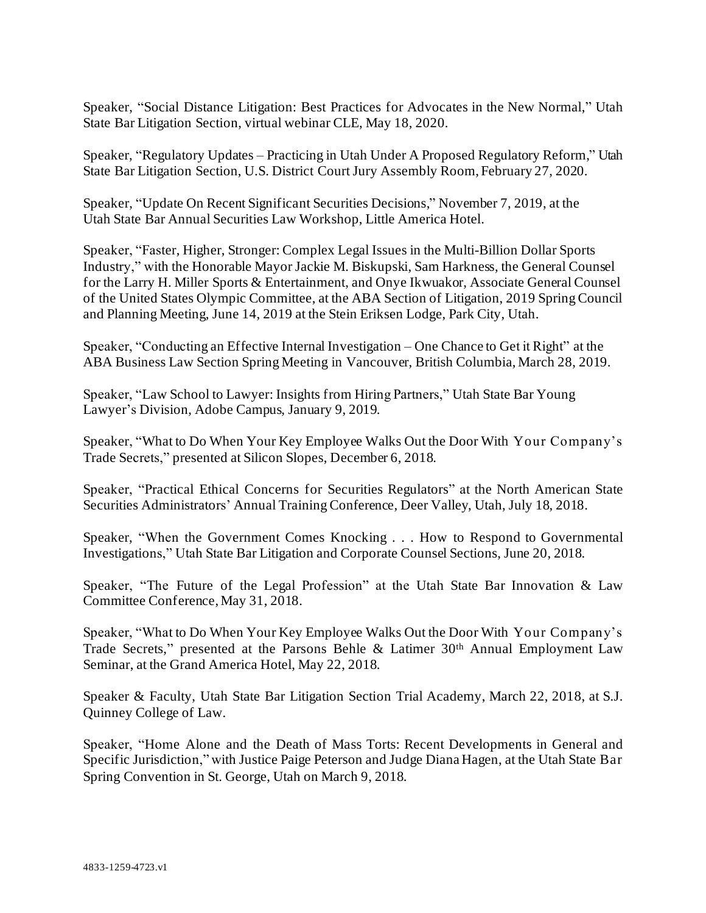Speaker, "Social Distance Litigation: Best Practices for Advocates in the New Normal," Utah State Bar Litigation Section, virtual webinar CLE, May 18, 2020.

Speaker, "Regulatory Updates – Practicing in Utah Under A Proposed Regulatory Reform," Utah State Bar Litigation Section, U.S. District Court Jury Assembly Room, February 27, 2020.

Speaker, "Update On Recent Significant Securities Decisions," November 7, 2019, at the Utah State Bar Annual Securities Law Workshop, Little America Hotel.

Speaker, "Faster, Higher, Stronger: Complex Legal Issues in the Multi-Billion Dollar Sports Industry," with the Honorable Mayor Jackie M. Biskupski, Sam Harkness, the General Counsel for the Larry H. Miller Sports & Entertainment, and Onye Ikwuakor, Associate General Counsel of the United States Olympic Committee, at the ABA Section of Litigation, 2019 Spring Council and Planning Meeting, June 14, 2019 at the Stein Eriksen Lodge, Park City, Utah.

Speaker, "Conducting an Effective Internal Investigation – One Chance to Get it Right" at the ABA Business Law Section Spring Meeting in Vancouver, British Columbia, March 28, 2019.

Speaker, "Law School to Lawyer: Insights from Hiring Partners," Utah State Bar Young Lawyer's Division, Adobe Campus, January 9, 2019.

Speaker, "What to Do When Your Key Employee Walks Out the Door With Your Company's Trade Secrets," presented at Silicon Slopes, December 6, 2018.

Speaker, "Practical Ethical Concerns for Securities Regulators" at the North American State Securities Administrators' Annual Training Conference, Deer Valley, Utah, July 18, 2018.

Speaker, "When the Government Comes Knocking . . . How to Respond to Governmental Investigations," Utah State Bar Litigation and Corporate Counsel Sections, June 20, 2018.

Speaker, "The Future of the Legal Profession" at the Utah State Bar Innovation & Law Committee Conference, May 31, 2018.

Speaker, "What to Do When Your Key Employee Walks Out the Door With Your Company's Trade Secrets," presented at the Parsons Behle & Latimer 30th Annual Employment Law Seminar, at the Grand America Hotel, May 22, 2018.

Speaker & Faculty, Utah State Bar Litigation Section Trial Academy, March 22, 2018, at S.J. Quinney College of Law.

Speaker, "Home Alone and the Death of Mass Torts: Recent Developments in General and Specific Jurisdiction," with Justice Paige Peterson and Judge Diana Hagen, at the Utah State Bar Spring Convention in St. George, Utah on March 9, 2018.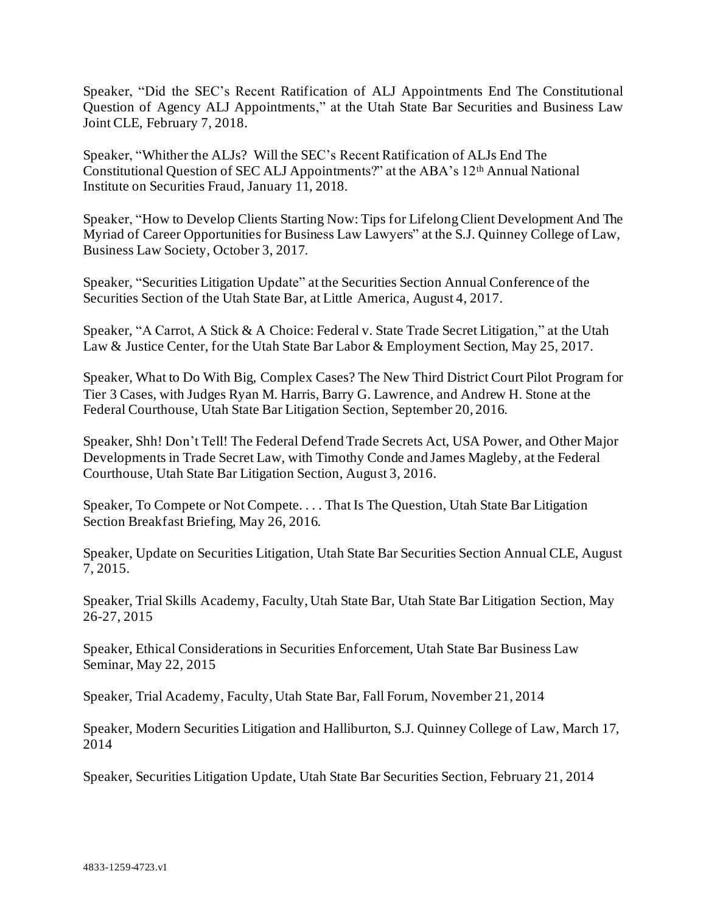Speaker, "Did the SEC's Recent Ratification of ALJ Appointments End The Constitutional Question of Agency ALJ Appointments," at the Utah State Bar Securities and Business Law Joint CLE, February 7, 2018.

Speaker, "Whither the ALJs? Will the SEC's Recent Ratification of ALJs End The Constitutional Question of SEC ALJ Appointments?" at the ABA's 12th Annual National Institute on Securities Fraud, January 11, 2018.

Speaker, "How to Develop Clients Starting Now: Tips for Lifelong Client Development And The Myriad of Career Opportunities for Business Law Lawyers" at the S.J. Quinney College of Law, Business Law Society, October 3, 2017.

Speaker, "Securities Litigation Update" at the Securities Section Annual Conference of the Securities Section of the Utah State Bar, at Little America, August 4, 2017.

Speaker, "A Carrot, A Stick & A Choice: Federal v. State Trade Secret Litigation," at the Utah Law & Justice Center, for the Utah State Bar Labor & Employment Section, May 25, 2017.

Speaker, What to Do With Big, Complex Cases? The New Third District Court Pilot Program for Tier 3 Cases, with Judges Ryan M. Harris, Barry G. Lawrence, and Andrew H. Stone at the Federal Courthouse, Utah State Bar Litigation Section, September 20, 2016.

Speaker, Shh! Don't Tell! The Federal Defend Trade Secrets Act, USA Power, and Other Major Developments in Trade Secret Law, with Timothy Conde and James Magleby, at the Federal Courthouse, Utah State Bar Litigation Section, August 3, 2016.

Speaker, To Compete or Not Compete. . . . That Is The Question, Utah State Bar Litigation Section Breakfast Briefing, May 26, 2016.

Speaker, Update on Securities Litigation, Utah State Bar Securities Section Annual CLE, August 7, 2015.

Speaker, Trial Skills Academy, Faculty, Utah State Bar, Utah State Bar Litigation Section, May 26-27, 2015

Speaker, Ethical Considerations in Securities Enforcement, Utah State Bar Business Law Seminar, May 22, 2015

Speaker, Trial Academy, Faculty, Utah State Bar, Fall Forum, November 21, 2014

Speaker, Modern Securities Litigation and Halliburton, S.J. Quinney College of Law, March 17, 2014

Speaker, Securities Litigation Update, Utah State Bar Securities Section, February 21, 2014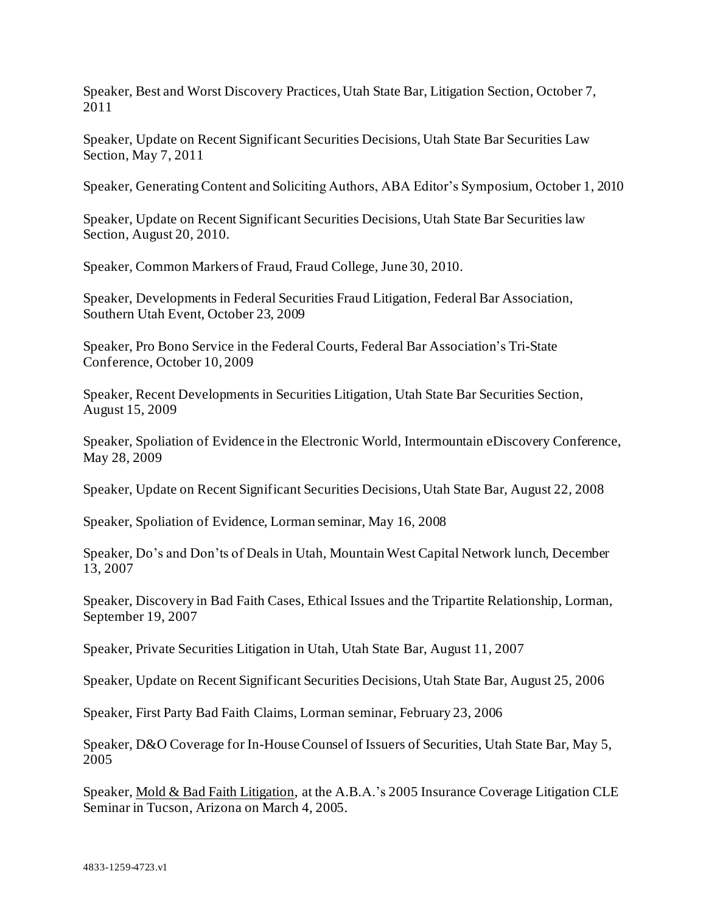Speaker, Best and Worst Discovery Practices, Utah State Bar, Litigation Section, October 7, 2011

Speaker, Update on Recent Significant Securities Decisions, Utah State Bar Securities Law Section, May 7, 2011

Speaker, Generating Content and Soliciting Authors, ABA Editor's Symposium, October 1, 2010

Speaker, Update on Recent Significant Securities Decisions, Utah State Bar Securities law Section, August 20, 2010.

Speaker, Common Markers of Fraud, Fraud College, June 30, 2010.

Speaker, Developments in Federal Securities Fraud Litigation, Federal Bar Association, Southern Utah Event, October 23, 2009

Speaker, Pro Bono Service in the Federal Courts, Federal Bar Association's Tri-State Conference, October 10, 2009

Speaker, Recent Developments in Securities Litigation, Utah State Bar Securities Section, August 15, 2009

Speaker, Spoliation of Evidence in the Electronic World, Intermountain eDiscovery Conference, May 28, 2009

Speaker, Update on Recent Significant Securities Decisions, Utah State Bar, August 22, 2008

Speaker, Spoliation of Evidence, Lorman seminar, May 16, 2008

Speaker, Do's and Don'ts of Deals in Utah, Mountain West Capital Network lunch, December 13, 2007

Speaker, Discovery in Bad Faith Cases, Ethical Issues and the Tripartite Relationship, Lorman, September 19, 2007

Speaker, Private Securities Litigation in Utah, Utah State Bar, August 11, 2007

Speaker, Update on Recent Significant Securities Decisions, Utah State Bar, August 25, 2006

Speaker, First Party Bad Faith Claims, Lorman seminar, February 23, 2006

Speaker, D&O Coverage for In-House Counsel of Issuers of Securities, Utah State Bar, May 5, 2005

Speaker, Mold & Bad Faith Litigation, at the A.B.A.'s 2005 Insurance Coverage Litigation CLE Seminar in Tucson, Arizona on March 4, 2005.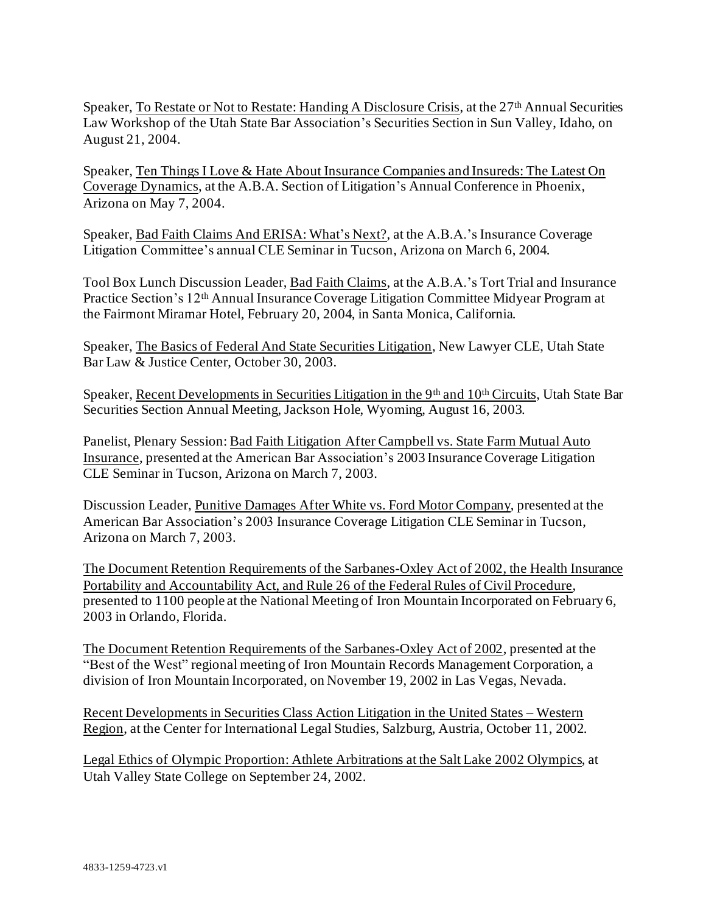Speaker, To Restate or Not to Restate: Handing A Disclosure Crisis, at the 27<sup>th</sup> Annual Securities Law Workshop of the Utah State Bar Association's Securities Section in Sun Valley, Idaho, on August 21, 2004.

Speaker, Ten Things I Love & Hate About Insurance Companies and Insureds: The Latest On Coverage Dynamics, at the A.B.A. Section of Litigation's Annual Conference in Phoenix, Arizona on May 7, 2004.

Speaker, Bad Faith Claims And ERISA: What's Next?, at the A.B.A.'s Insurance Coverage Litigation Committee's annual CLE Seminar in Tucson, Arizona on March 6, 2004.

Tool Box Lunch Discussion Leader, Bad Faith Claims, at the A.B.A.'s Tort Trial and Insurance Practice Section's 12th Annual Insurance Coverage Litigation Committee Midyear Program at the Fairmont Miramar Hotel, February 20, 2004, in Santa Monica, California.

Speaker, The Basics of Federal And State Securities Litigation, New Lawyer CLE, Utah State Bar Law & Justice Center, October 30, 2003.

Speaker, Recent Developments in Securities Litigation in the 9<sup>th</sup> and 10<sup>th</sup> Circuits, Utah State Bar Securities Section Annual Meeting, Jackson Hole, Wyoming, August 16, 2003.

Panelist, Plenary Session: Bad Faith Litigation After Campbell vs. State Farm Mutual Auto Insurance, presented at the American Bar Association's 2003 Insurance Coverage Litigation CLE Seminar in Tucson, Arizona on March 7, 2003.

Discussion Leader, Punitive Damages After White vs. Ford Motor Company, presented at the American Bar Association's 2003 Insurance Coverage Litigation CLE Seminar in Tucson, Arizona on March 7, 2003.

The Document Retention Requirements of the Sarbanes-Oxley Act of 2002, the Health Insurance Portability and Accountability Act, and Rule 26 of the Federal Rules of Civil Procedure, presented to 1100 people at the National Meeting of Iron Mountain Incorporated on February 6, 2003 in Orlando, Florida.

The Document Retention Requirements of the Sarbanes-Oxley Act of 2002, presented at the "Best of the West" regional meeting of Iron Mountain Records Management Corporation, a division of Iron Mountain Incorporated, on November 19, 2002 in Las Vegas, Nevada.

Recent Developments in Securities Class Action Litigation in the United States – Western Region, at the Center for International Legal Studies, Salzburg, Austria, October 11, 2002.

Legal Ethics of Olympic Proportion: Athlete Arbitrations at the Salt Lake 2002 Olympics, at Utah Valley State College on September 24, 2002.